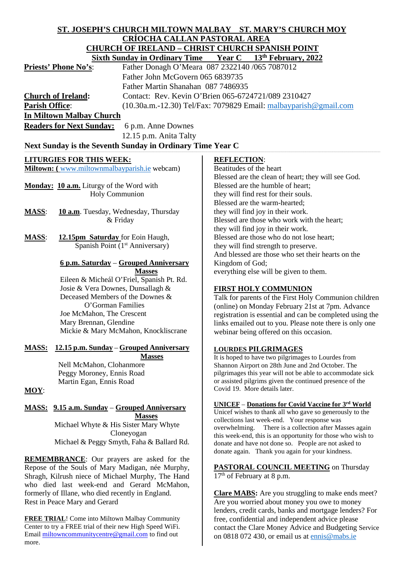# **ST. JOSEPH'S CHURCH MILTOWN MALBAY ST. MARY'S CHURCH MOY CRÍOCHA CALLAN PASTORAL AREA CHURCH OF IRELAND – CHRIST CHURCH SPANISH POINT**

| CHURCH OF IRELAND – CHRIST CHURCH SPANISH POINT                               |                                                                                                                 |
|-------------------------------------------------------------------------------|-----------------------------------------------------------------------------------------------------------------|
| Sixth Sunday in Ordinary Time Year C 13th February, 2022                      |                                                                                                                 |
| Father Donagh O'Meara 087 2322140 /065 7087012<br><b>Priests' Phone No's:</b> |                                                                                                                 |
| Father John McGovern 065 6839735                                              |                                                                                                                 |
| Father Martin Shanahan 087 7486935                                            |                                                                                                                 |
| <b>Church of Ireland:</b>                                                     | Contact: Rev. Kevin O'Brien 065-6724721/089 2310427                                                             |
| <b>Parish Office:</b>                                                         | $(10.30a.m.-12.30)$ Tel/Fax: 7079829 Email: $malbayparish@gmail.com$                                            |
| <b>In Miltown Malbay Church</b>                                               |                                                                                                                 |
| <b>Readers for Next Sunday:</b><br>6 p.m. Anne Downes                         |                                                                                                                 |
| 12.15 p.m. Anita Talty                                                        |                                                                                                                 |
| Next Sunday is the Seventh Sunday in Ordinary Time Year C                     |                                                                                                                 |
| <b>LITURGIES FOR THIS WEEK:</b>                                               | <b>REFLECTION:</b>                                                                                              |
| Miltown: (www.miltownmalbayparish.ie webcam)                                  | Beatitudes of the heart                                                                                         |
|                                                                               | Blessed are the clean of heart; they will see God.                                                              |
| Monday: 10 a.m. Liturgy of the Word with                                      | Blessed are the humble of heart;                                                                                |
| <b>Holy Communion</b>                                                         | they will find rest for their souls.                                                                            |
|                                                                               | Blessed are the warm-hearted;                                                                                   |
| 10 a.m. Tuesday, Wednesday, Thursday<br><b>MASS:</b>                          | they will find joy in their work.                                                                               |
| & Friday                                                                      | Blessed are those who work with the heart;                                                                      |
|                                                                               | they will find joy in their work.                                                                               |
| 12.15pm Saturday for Eoin Haugh,<br><b>MASS:</b>                              | Blessed are those who do not lose heart;                                                                        |
| Spanish Point (1 <sup>st</sup> Anniversary)                                   | they will find strength to preserve.                                                                            |
|                                                                               | And blessed are those who set their hearts on the                                                               |
| <u> 6 p.m. Saturday – Grouped Anniversary</u>                                 | Kingdom of God;                                                                                                 |
| <b>Masses</b><br>Eileen & Micheál O'Friel, Spanish Pt. Rd.                    | everything else will be given to them.                                                                          |
| Josie & Vera Downes, Dunsallagh &                                             |                                                                                                                 |
| Deceased Members of the Downes &                                              | <b>FIRST HOLY COMMUNION</b><br>Talk for parents of the First Holy Communion children                            |
| O'Gorman Families                                                             | (online) on Monday February 21st at 7pm. Advance                                                                |
| Joe McMahon, The Crescent                                                     | registration is essential and can be completed using the                                                        |
| Mary Brennan, Glendine                                                        | links emailed out to you. Please note there is only one                                                         |
| Mickie & Mary McMahon, Knockliscrane                                          | webinar being offered on this occasion.                                                                         |
|                                                                               |                                                                                                                 |
| 12.15 p.m. Sunday – Grouped Anniversary<br>MASS:                              | <b>LOURDES PILGRIMAGES</b>                                                                                      |
| <b>Masses</b><br>Nell McMahon, Clohanmore                                     | It is hoped to have two pilgrimages to Lourdes from                                                             |
| Peggy Moroney, Ennis Road                                                     | Shannon Airport on 28th June and 2nd October. The<br>pilgrimages this year will not be able to accommodate sick |
| Martin Egan, Ennis Road                                                       | or assisted pilgrims given the continued presence of the                                                        |
| $MOY$ :                                                                       | Covid 19. More details later.                                                                                   |
|                                                                               |                                                                                                                 |
| <b>MASS:</b> 9.15 a.m. Sunday – Grouped Anniversary                           | <b>UNICEF</b> - Donations for Covid Vaccine for 3 <sup>rd</sup> World                                           |
| <b>Masses</b>                                                                 | Unicef wishes to thank all who gave so generously to the                                                        |
| Michael Whyte & His Sister Mary Whyte                                         | collections last week-end. Your response was<br>There is a collection after Masses again<br>overwhelming.       |
| Cloneyogan                                                                    | this week-end, this is an opportunity for those who wish to                                                     |

Michael & Peggy Smyth, Faha & Ballard Rd.

**REMEMBRANCE**: Our prayers are asked for the Repose of the Souls of Mary Madigan, née Murphy, Shragh, Kilrush niece of Michael Murphy, The Hand who died last week-end and Gerard McMahon, formerly of Illane, who died recently in England. Rest in Peace Mary and Gerard

**FREE TRIAL**! Come into Miltown Malbay Community Center to try a FREE trial of their new High Speed WiFi. Email [miltowncommunitycentre@gmail.com](mailto:miltowncommunitycentre@gmail.com) to find out more.

this week-end, this is an opportunity for those who wish to donate and have not done so. People are not asked to donate again. Thank you again for your kindness.

## **PASTORAL COUNCIL MEETING** on Thursday 17<sup>th</sup> of February at 8 p.m.

**Clare MABS:** Are you struggling to make ends meet? Are you worried about money you owe to money lenders, credit cards, banks and mortgage lenders? For free, confidential and independent advice please contact the Clare Money Advice and Budgeting Service on 0818 072 430, or email us a[t ennis@mabs.ie](mailto:ennis@mabs.ie)